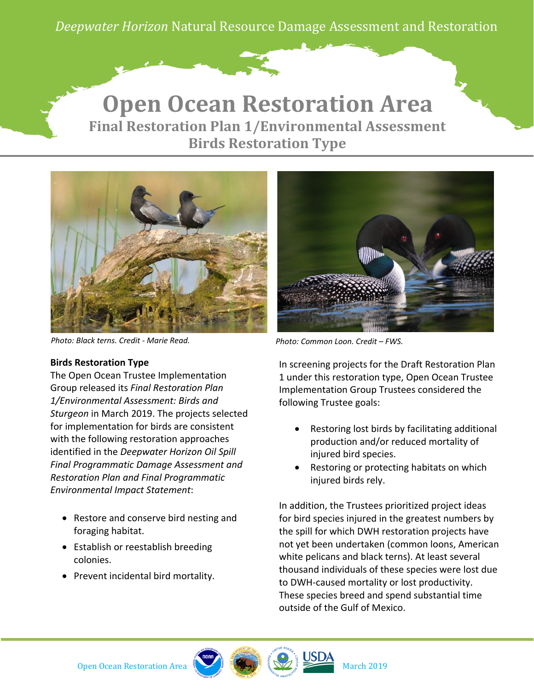*Deepwater Horizon* Natural Resource Damage Assessment and Restoration

## **Final Restoration Plan 1/Environmental Assessment Birds Restoration Type Open Ocean Restoration Area**



*Photo: Black terns. Credit - Marie Read. Photo: Common Loon. Credit – FWS.*

## **Birds Restoration Type**

The Open Ocean Trustee Implementation Group released its *Final Restoration Plan 1/Environmental Assessment: Birds and Sturgeon* in March 2019. The projects selected for implementation for birds are consistent with the following restoration approaches identified in the *Deepwater Horizon Oil Spill Final Programmatic Damage Assessment and Restoration Plan and Final Programmatic Environmental Impact Statement*:

- Restore and conserve bird nesting and foraging habitat.
- Establish or reestablish breeding colonies.
- Prevent incidental bird mortality.

In screening projects for the Draft Restoration Plan 1 under this restoration type, Open Ocean Trustee Implementation Group Trustees considered the following Trustee goals:

- Restoring lost birds by facilitating additional production and/or reduced mortality of injured bird species.
- Restoring or protecting habitats on which injured birds rely.

In addition, the Trustees prioritized project ideas for bird species injured in the greatest numbers by the spill for which DWH restoration projects have not yet been undertaken (common loons, American white pelicans and black terns). At least several thousand individuals of these species were lost due to DWH-caused mortality or lost productivity. These species breed and spend substantial time outside of the Gulf of Mexico.